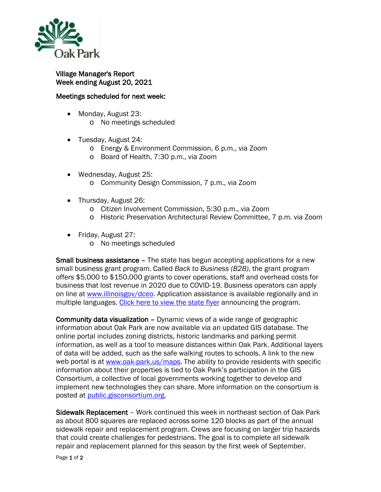

## Village Manager's Report Week ending August 20, 2021

## Meetings scheduled for next week:

- Monday, August 23:
	- o No meetings scheduled
- Tuesday, August 24:
	- o Energy & Environment Commission, 6 p.m., via Zoom
	- o Board of Health, 7:30 p.m., via Zoom
- Wednesday, August 25: o Community Design Commission, 7 p.m., via Zoom
- Thursday, August 26:
	- o Citizen Involvement Commission, 5:30 p.m., via Zoom
	- o Historic Preservation Architectural Review Committee, 7 p.m. via Zoom
- Friday, August 27:
	- o No meetings scheduled

Small business assistance - The state has begun accepting applications for a new small business grant program. Called *Back to Business (B2B)*, the grant program offers \$5,000 to \$150,000 grants to cover operations, staff and overhead costs for business that lost revenue in 2020 due to COVID-19. Business operators can apply on line at [www.illinoisgov/dceo.](http://www.illinoisgov/dceo) Application assistance is available regionally and in multiple languages. [Click here to view the state flyer](https://www.oak-park.us/sites/default/files/456678891/2021-08-18-b2bmarketingflyer.pdf) announcing the program.

Community data visualization – Dynamic views of a wide range of geographic information about Oak Park are now available via an updated GIS database. The online portal includes zoning districts, historic landmarks and parking permit information, as well as a tool to measure distances within Oak Park. Additional layers of data will be added, such as the safe walking routes to schools. A link to the new web portal is at [www.oak-park.us/maps.](http://www.oak-park.us/maps) The ability to provide residents with specific information about their properties is tied to Oak Park's participation in the GIS Consortium, a collective of local governments working together to develop and implement new technologies they can share. More information on the consortium is posted at [public.gisconsortium.org.](http://public.gisconsortium.org/)

Sidewalk Replacement – Work continued this week in northeast section of Oak Park as about 800 squares are replaced across some 120 blocks as part of the annual sidewalk repair and replacement program. Crews are focusing on larger trip hazards that could create challenges for pedestrians. The goal is to complete all sidewalk repair and replacement planned for this season by the first week of September.